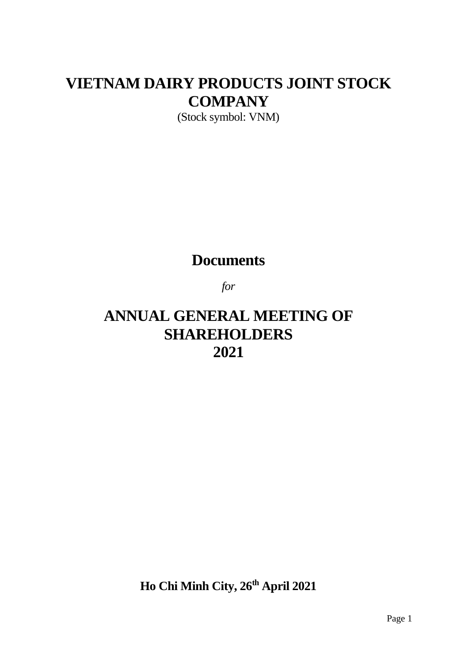# **VIETNAM DAIRY PRODUCTS JOINT STOCK COMPANY**

(Stock symbol: VNM)

## **Documents**

*for*

## **ANNUAL GENERAL MEETING OF SHAREHOLDERS 2021**

**Ho Chi Minh City, 26th April 2021**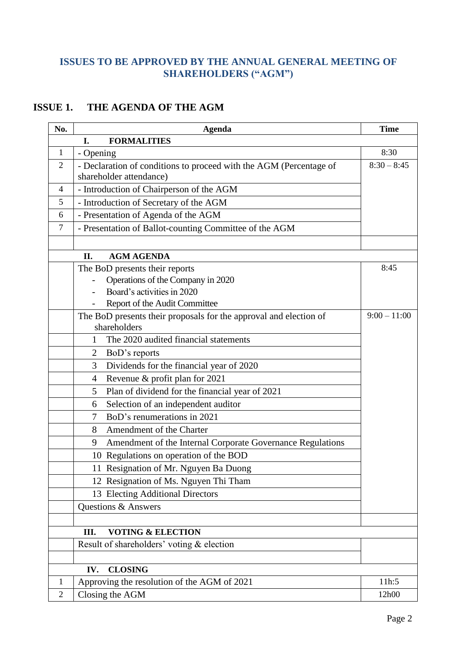## **ISSUES TO BE APPROVED BY THE ANNUAL GENERAL MEETING OF SHAREHOLDERS ("AGM")**

### **ISSUE 1. THE AGENDA OF THE AGM**

| No.            | <b>Agenda</b>                                                                                 | <b>Time</b>    |  |
|----------------|-----------------------------------------------------------------------------------------------|----------------|--|
|                | <b>FORMALITIES</b><br>I.                                                                      |                |  |
| $\mathbf{1}$   | - Opening                                                                                     | 8:30           |  |
| $\overline{2}$ | - Declaration of conditions to proceed with the AGM (Percentage of<br>shareholder attendance) | $8:30 - 8:45$  |  |
| $\overline{4}$ | - Introduction of Chairperson of the AGM                                                      |                |  |
| 5              | - Introduction of Secretary of the AGM                                                        |                |  |
| 6              | - Presentation of Agenda of the AGM                                                           |                |  |
| $\tau$         | - Presentation of Ballot-counting Committee of the AGM                                        |                |  |
|                | <b>AGM AGENDA</b><br>II.                                                                      |                |  |
|                | The BoD presents their reports                                                                | 8:45           |  |
|                | Operations of the Company in 2020                                                             |                |  |
|                | Board's activities in 2020                                                                    |                |  |
|                | Report of the Audit Committee                                                                 |                |  |
|                | The BoD presents their proposals for the approval and election of<br>shareholders             | $9:00 - 11:00$ |  |
|                | The 2020 audited financial statements<br>1                                                    |                |  |
|                | 2<br>BoD's reports                                                                            |                |  |
|                | Dividends for the financial year of 2020<br>3                                                 |                |  |
|                | Revenue & profit plan for 2021<br>$\overline{4}$                                              |                |  |
|                | Plan of dividend for the financial year of 2021<br>5                                          |                |  |
|                | Selection of an independent auditor<br>6                                                      |                |  |
|                | BoD's renumerations in 2021<br>$\tau$                                                         |                |  |
|                | Amendment of the Charter<br>8                                                                 |                |  |
|                | 9<br>Amendment of the Internal Corporate Governance Regulations                               |                |  |
|                | 10 Regulations on operation of the BOD                                                        |                |  |
|                | 11 Resignation of Mr. Nguyen Ba Duong                                                         |                |  |
|                | 12 Resignation of Ms. Nguyen Thi Tham                                                         |                |  |
|                | 13 Electing Additional Directors                                                              |                |  |
|                | Questions & Answers                                                                           |                |  |
|                |                                                                                               |                |  |
|                | <b>VOTING &amp; ELECTION</b><br>Ш.<br>Result of shareholders' voting & election               |                |  |
|                |                                                                                               |                |  |
|                | <b>CLOSING</b><br>IV.                                                                         |                |  |
| $\mathbf{1}$   | Approving the resolution of the AGM of 2021                                                   | 11h:5          |  |
| $\overline{2}$ | Closing the AGM                                                                               | 12h00          |  |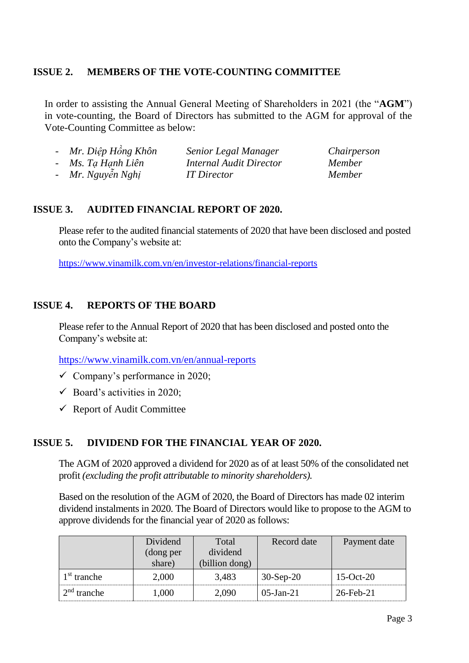#### **ISSUE 2. MEMBERS OF THE VOTE-COUNTING COMMITTEE**

In order to assisting the Annual General Meeting of Shareholders in 2021 (the "**AGM**") in vote-counting, the Board of Directors has submitted to the AGM for approval of the Vote-Counting Committee as below:

| - Mr. Diệp Hồng Khôn | Senior Legal Manager    | Chairperson   |
|----------------------|-------------------------|---------------|
| - Ms. Ta Hanh Liên   | Internal Audit Director | <i>Member</i> |
| - Mr. Nguyễn Nghị    | <b>IT</b> Director      | <i>Member</i> |

#### **ISSUE 3. AUDITED FINANCIAL REPORT OF 2020.**

Please refer to the audited financial statements of 2020 that have been disclosed and posted onto the Company's website at:

<https://www.vinamilk.com.vn/en/investor-relations/financial-reports>

#### **ISSUE 4. REPORTS OF THE BOARD**

Please refer to the Annual Report of 2020 that has been disclosed and posted onto the Company's website at:

<https://www.vinamilk.com.vn/en/annual-reports>

- $\checkmark$  Company's performance in 2020;
- $\checkmark$  Board's activities in 2020;
- $\checkmark$  Report of Audit Committee

#### **ISSUE 5. DIVIDEND FOR THE FINANCIAL YEAR OF 2020.**

The AGM of 2020 approved a dividend for 2020 as of at least 50% of the consolidated net profit *(excluding the profit attributable to minority shareholders).*

Based on the resolution of the AGM of 2020, the Board of Directors has made 02 interim dividend instalments in 2020. The Board of Directors would like to propose to the AGM to approve dividends for the financial year of 2020 as follows:

|               | Dividend  | Total          | Record date  | Payment date    |
|---------------|-----------|----------------|--------------|-----------------|
|               | (dong per | dividend       |              |                 |
|               | share)    | (billion dong) |              |                 |
| $1st$ tranche | 2,000     | 3.483          | $30-Sep-20$  | $15$ -Oct- $20$ |
| $2nd$ tranche | 000.1     | 2.090          | $05$ -Jan-21 | $26$ -Feb-21    |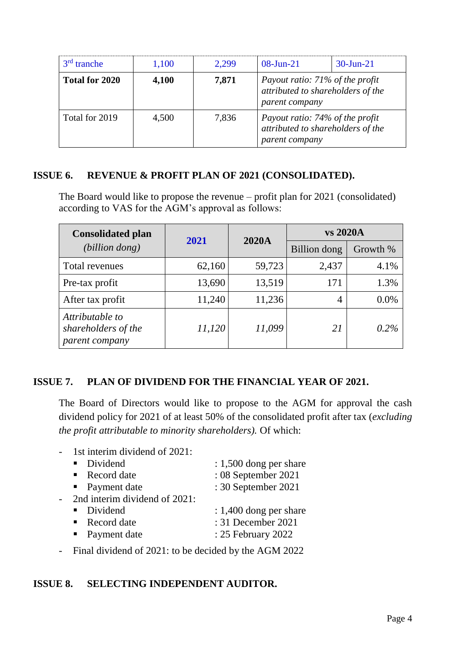| $3rd$ tranche  | 1,100 | 2.299 | $08$ -Jun-21                                                                           | $30$ -Jun-21 |
|----------------|-------|-------|----------------------------------------------------------------------------------------|--------------|
| Total for 2020 | 4,100 | 7,871 | Payout ratio: 71% of the profit<br>attributed to shareholders of the<br>parent company |              |
| Total for 2019 | 4,500 | 7,836 | Payout ratio: 74% of the profit<br>attributed to shareholders of the<br>parent company |              |

#### **ISSUE 6. REVENUE & PROFIT PLAN OF 2021 (CONSOLIDATED).**

The Board would like to propose the revenue – profit plan for 2021 (consolidated) according to VAS for the AGM's approval as follows:

| <b>Consolidated plan</b>                                 | 2021   | <b>2020A</b> | vs 2020A     |          |
|----------------------------------------------------------|--------|--------------|--------------|----------|
| (billion dong)                                           |        |              | Billion dong | Growth % |
| Total revenues                                           | 62,160 | 59,723       | 2,437        | 4.1%     |
| Pre-tax profit                                           | 13,690 | 13,519       | 171          | 1.3%     |
| After tax profit                                         | 11,240 | 11,236       | 4            | 0.0%     |
| Attributable to<br>shareholders of the<br>parent company | 11,120 | 11,099       | 21           | $0.2\%$  |

#### **ISSUE 7. PLAN OF DIVIDEND FOR THE FINANCIAL YEAR OF 2021.**

The Board of Directors would like to propose to the AGM for approval the cash dividend policy for 2021 of at least 50% of the consolidated profit after tax (*excluding the profit attributable to minority shareholders).* Of which:

- 1st interim dividend of 2021:

| • Dividend                    | $: 1,500$ dong per share |
|-------------------------------|--------------------------|
| • Record date                 | : 08 September 2021      |
| • Payment date                | : 30 September 2021      |
| 2nd interim dividend of 2021: |                          |
| • Dividend                    | $: 1,400$ dong per share |
| • Record date                 | : 31 December 2021       |
| • Payment date                | : 25 February 2022       |
|                               |                          |

- Final dividend of 2021: to be decided by the AGM 2022

#### **ISSUE 8. SELECTING INDEPENDENT AUDITOR.**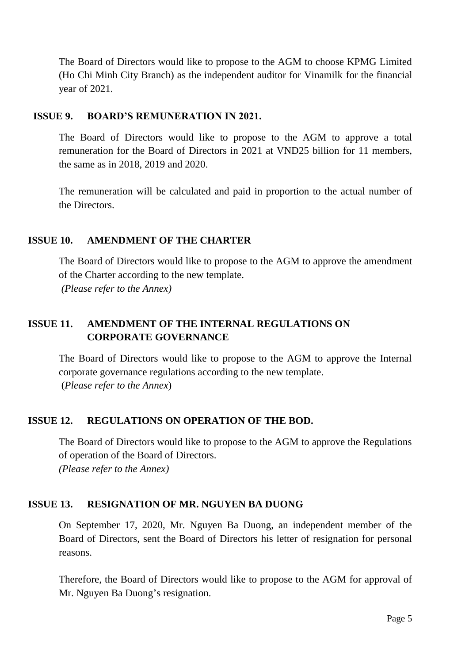The Board of Directors would like to propose to the AGM to choose KPMG Limited (Ho Chi Minh City Branch) as the independent auditor for Vinamilk for the financial year of 2021.

#### **ISSUE 9. BOARD'S REMUNERATION IN 2021.**

The Board of Directors would like to propose to the AGM to approve a total remuneration for the Board of Directors in 2021 at VND25 billion for 11 members, the same as in 2018, 2019 and 2020.

The remuneration will be calculated and paid in proportion to the actual number of the Directors.

#### **ISSUE 10. AMENDMENT OF THE CHARTER**

The Board of Directors would like to propose to the AGM to approve the amendment of the Charter according to the new template. *(Please refer to the Annex)*

# **ISSUE 11. AMENDMENT OF THE INTERNAL REGULATIONS ON**

# **CORPORATE GOVERNANCE**

The Board of Directors would like to propose to the AGM to approve the Internal corporate governance regulations according to the new template. (*Please refer to the Annex*)

#### **ISSUE 12. REGULATIONS ON OPERATION OF THE BOD.**

The Board of Directors would like to propose to the AGM to approve the Regulations of operation of the Board of Directors. *(Please refer to the Annex)*

#### **ISSUE 13. RESIGNATION OF MR. NGUYEN BA DUONG**

On September 17, 2020, Mr. Nguyen Ba Duong, an independent member of the Board of Directors, sent the Board of Directors his letter of resignation for personal reasons.

Therefore, the Board of Directors would like to propose to the AGM for approval of Mr. Nguyen Ba Duong's resignation.